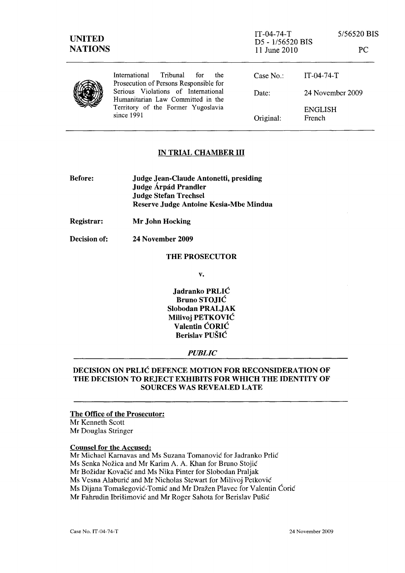| <b>UNITED</b><br><b>NATIONS</b> |                                                                                                                              | $IT-04-74-T$<br>D5 - 1/56520 BIS<br>11 June 2010 |                          | 5/56520 BIS<br>PC. |
|---------------------------------|------------------------------------------------------------------------------------------------------------------------------|--------------------------------------------------|--------------------------|--------------------|
|                                 | International<br>Tribunal<br>for<br>the<br>Prosecution of Persons Responsible for                                            | Case $No.$ :                                     | $IT-04-74-T$             |                    |
|                                 | Serious Violations of International<br>Humanitarian Law Committed in the<br>Territory of the Former Yugoslavia<br>since 1991 | Date:                                            | 24 November 2009         |                    |
|                                 |                                                                                                                              | Original:                                        | <b>ENGLISH</b><br>French |                    |

### IN TRIAL CHAMBER **III**

- Before: Judge Jean-Claude Antonetti, presiding Judge Árpád Prandler Judge Stefan Trechsel Reserve Judge Antoine Kesia-Mbe Mindua
- Registrar: Mr John Hocking

Decision of: 24 November 2009

#### THE PROSECUTOR

v.

Jadranko PRLIC Bruno STOJIC Slobodan PRALJAK Milivoj PETKOVIC Valentin CORIC Berislav PUSIC

#### *PUBLIC*

## DECISION ON PRLIC DEFENCE MOTION FOR RECONSIDERATION OF THE DECISION TO REJECT EXHIBITS FOR WHICH THE IDENTITY OF SOURCES WAS REVEALED LATE

#### The Office of the Prosecutor:

Mr Kenneth Scott Mr Douglas Stringer

## Counsel for the Accused:

- Mr Michael Karnavas and Ms Suzana Tomanovic for ladranko Prlic
- Ms Senka Nozica and Mr Karim A. A. Khan for Bruno Stojic
- Mr Bozidar Kovacic and Ms Nika Pinter for Slobodan Praljak

Ms Vesna Alaburic and Mr Nicholas Stewart for Milivoj Petkovie

Ms Dijana Tomašegović-Tomić and Mr Dražen Plavec for Valentin Ćorić

Mr Fahrudin Ibrisimovic and Mr Roger Sahota for Berislav Pusic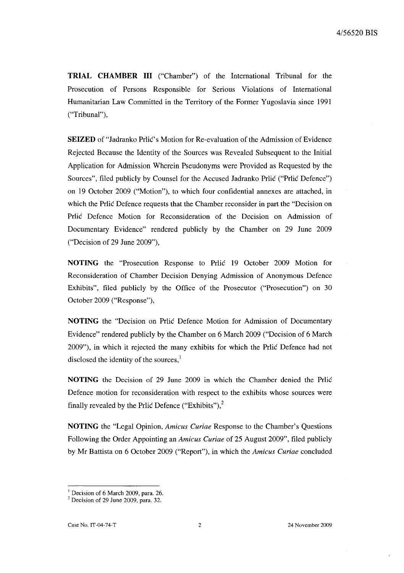**TRIAL CHAMBER III** ("Chamber") of the International Tribunal for the Prosecution of Persons Responsible for Serious Violations of International Humanitarian Law Committed in the Territory of the Former Yugoslavia since 1991 ("Tribunal"),

**SEIZED** of "Jadranko Prlic's Motion for Re-evaluation of the Admission of Evidence Rejected Because the Identity of the Sources was Revealed Subsequent to the Initial Application for Admission Wherein Pseudonyms were Provided as Requested by the Sources", filed publicly by Counsel for the Accused Jadranko Prlic ("Prlic Defence") on 19 October 2009 ("Motion"), to which four confidential annexes are attached, in which the Prlic Defence requests that the Chamber reconsider in part the "Decision on Prlic Defence Motion for Reconsideration of the Decision on Admission of Documentary Evidence" rendered publicly by the Chamber on 29 June 2009 ("Decision of 29 June 2009"),

**NOTING** the "Prosecution Response to Prlic 19 October 2009 Motion for Reconsideration of Chamber Decision Denying Admission of Anonymous Defence Exhibits", filed publicly by the Office of the Prosecutor ("Prosecution") on 30 October 2009 ("Response"),

**NOTING** the "Decision on Prlic Defence Motion for Admission of Documentary Evidence" rendered publicly by the Chamber on 6 March 2009 ("Decision of 6 March 2009"), in which it rejected the many exhibits for which the Prlic Defence had not disclosed the identity of the sources, $\frac{1}{1}$ 

**NOTING** the Decision of 29 June 2009 in which the Chamber denied the Prlic Defence motion for reconsideration with respect to the exhibits whose sources were finally revealed by the Prlic Defence ("Exhibits"),<sup>2</sup>

**NOTING** the "Legal Opinion, *Amicus Curiae* Response to the Chamber's Questions Following the Order Appointing an *Amicus Curiae* of 25 August 2009", filed publicly by Mr Battista on 6 October 2009 ("Report"), in which the *Amicus Curiae* concluded

<sup>&</sup>lt;sup>1</sup> Decision of 6 March 2009, para. 26.

 $2^2$  Decision of 29 June 2009, para. 32.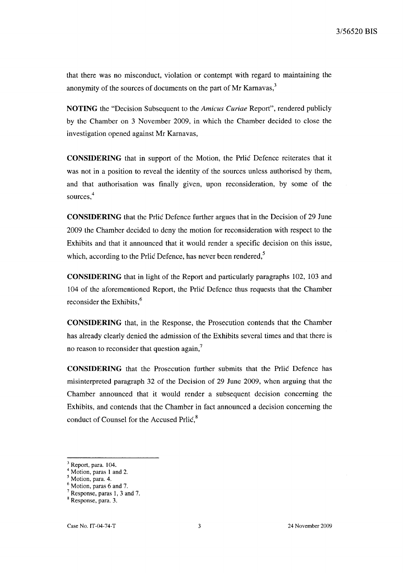that there was no misconduct, violation or contempt with regard to maintaining the anonymity of the sources of documents on the part of Mr Karnavas,<sup>3</sup>

**NOTING** the "Decision Subsequent to the *Amicus Curiae* Report", rendered publicly by the Chamber on 3 November 2009, in which the Chamber decided to close the investigation opened against Mr Karnavas,

**CONSIDERING** that in support of the Motion, the Prlic Defence reiterates that it was not in a position to reveal the identity of the sources unless authorised by them, and that authorisation was finally given, upon reconsideration, by some of the sources.<sup>4</sup>

**CONSIDERING** that the Prlic Defence further argues that in the Decision of 29 June 2009 the Chamber decided to deny the motion for reconsideration with respect to the Exhibits and that it announced that it would render a specific decision on this issue, which, according to the Prlic Defence, has never been rendered, $5$ 

**CONSIDERING** that in light of the Report and particularly paragraphs 102, 103 and 104 of the aforementioned Report, the Prlic Defence thus requests that the Chamber reconsider the Exhibits, $<sup>6</sup>$ </sup>

**CONSIDERING** that, in the Response, the Prosecution contends that the Chamber has already clearly denied the admission of the Exhibits several times and that there is no reason to reconsider that question again, $<sup>7</sup>$ </sup>

**CONSIDERING** that the Prosecution further submits that the Prlic Defence has misinterpreted paragraph 32 of the Decision of 29 June 2009, when arguing that the Chamber announced that it would render a subsequent decision concerning the Exhibits, and contends that the Chamber in fact announced a decision concerning the conduct of Counsel for the Accused Prlic.<sup>8</sup>

 $3$  Report, para. 104.

<sup>&</sup>lt;sup>4</sup> Motion, paras 1 and 2.

Motion, para. 4.

Motion, paras 6 and 7.

<sup>7</sup> Response, paras 1, 3 and 7.

<sup>8</sup> Response, para. 3.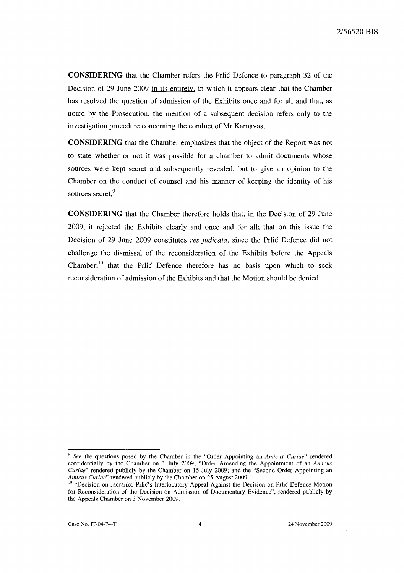**CONSIDERING** that the Chamber refers the Prlic Defence to paragraph 32 of the Decision of 29 June 2009 in its entirety, in which it appears clear that the Chamber has resolved the question of admission of the Exhibits once and for all and that, as noted by the Prosecution, the mention of a subsequent decision refers only to the investigation procedure concerning the conduct of Mr Karnavas,

**CONSIDERING** that the Chamber emphasizes that the object of the Report was not to state whether or not it was possible for a chamber to admit documents whose sources were kept secret and subsequently revealed, but to give an opinion to the Chamber on the conduct of counsel and his manner of keeping the identity of his sources secret,<sup>9</sup>

**CONSIDERING** that the Chamber therefore holds that, in the Decision of 29 June 2009, it rejected the Exhibits clearly and once and for all; that on this issue the Decision of 29 June 2009 constitutes *res judicata,* since the Prlic Defence did not challenge the dismissal of the reconsideration of the Exhibits before the Appeals Chamber;<sup>10</sup> that the Prlic Defence therefore has no basis upon which to seek reconsideration of admission of the Exhibits and that the Motion should be denied.

<sup>9</sup>*See* the questions posed by the Chamber in the "Order Appointing an *Amicus Curiae"* rendered confidentially by the Chamber on 3 July 2009; "Order Amending the Appointment of an *Amicus Curiae"* rendered publicly by the Chamber on 15 July 2009; and the "Second Order Appointing an *Amicus Curiae"* rendered publicly by the Chamber on 25 August 2009.

<sup>&</sup>lt;sup>10</sup> "Decision on Jadranko Prlic's Interlocutory Appeal Against the Decision on Prlic Defence Motion for Reconsideration of the Decision on Admission of Documentary Evidence", rendered publicly by the Appeals Chamber on 3 November 2009.